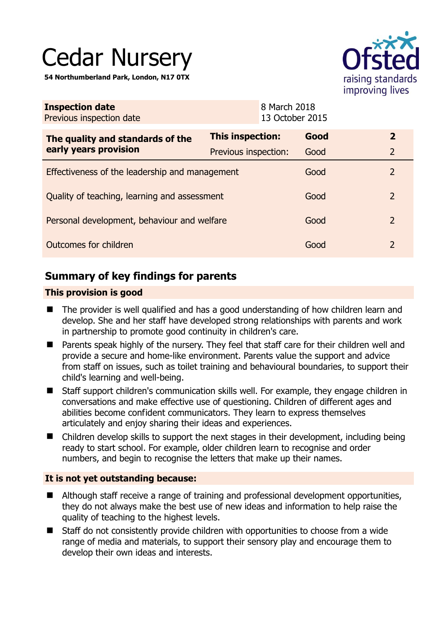# Cedar Nursery

**54 Northumberland Park, London, N17 0TX** 



| <b>Inspection date</b><br>Previous inspection date |                      | 8 March 2018<br>13 October 2015 |      |                |
|----------------------------------------------------|----------------------|---------------------------------|------|----------------|
| The quality and standards of the                   | This inspection:     |                                 | Good | $\overline{2}$ |
| early years provision                              | Previous inspection: |                                 | Good | $\overline{2}$ |
| Effectiveness of the leadership and management     |                      |                                 | Good | $\mathcal{P}$  |
| Quality of teaching, learning and assessment       |                      |                                 | Good | 2              |
| Personal development, behaviour and welfare        |                      |                                 | Good | 2              |
| Outcomes for children                              |                      |                                 | Good | 2              |

# **Summary of key findings for parents**

#### **This provision is good**

- The provider is well qualified and has a good understanding of how children learn and develop. She and her staff have developed strong relationships with parents and work in partnership to promote good continuity in children's care.
- Parents speak highly of the nursery. They feel that staff care for their children well and provide a secure and home-like environment. Parents value the support and advice from staff on issues, such as toilet training and behavioural boundaries, to support their child's learning and well-being.
- Staff support children's communication skills well. For example, they engage children in conversations and make effective use of questioning. Children of different ages and abilities become confident communicators. They learn to express themselves articulately and enjoy sharing their ideas and experiences.
- Children develop skills to support the next stages in their development, including being ready to start school. For example, older children learn to recognise and order numbers, and begin to recognise the letters that make up their names.

## **It is not yet outstanding because:**

- Although staff receive a range of training and professional development opportunities, they do not always make the best use of new ideas and information to help raise the quality of teaching to the highest levels.
- Staff do not consistently provide children with opportunities to choose from a wide range of media and materials, to support their sensory play and encourage them to develop their own ideas and interests.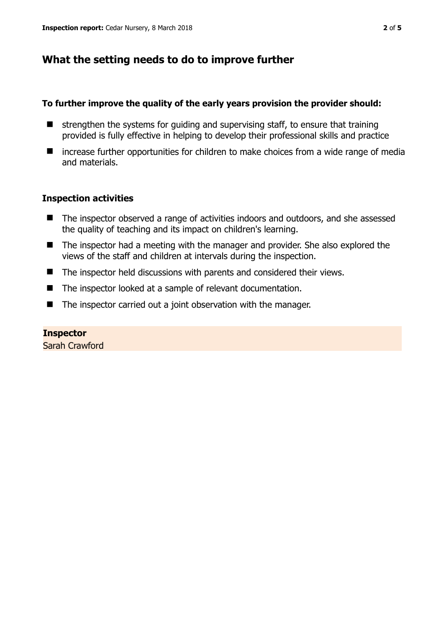# **What the setting needs to do to improve further**

#### **To further improve the quality of the early years provision the provider should:**

- $\blacksquare$  strengthen the systems for guiding and supervising staff, to ensure that training provided is fully effective in helping to develop their professional skills and practice
- $\blacksquare$  increase further opportunities for children to make choices from a wide range of media and materials.

## **Inspection activities**

- The inspector observed a range of activities indoors and outdoors, and she assessed the quality of teaching and its impact on children's learning.
- The inspector had a meeting with the manager and provider. She also explored the views of the staff and children at intervals during the inspection.
- The inspector held discussions with parents and considered their views.
- The inspector looked at a sample of relevant documentation.
- The inspector carried out a joint observation with the manager.

## **Inspector**

Sarah Crawford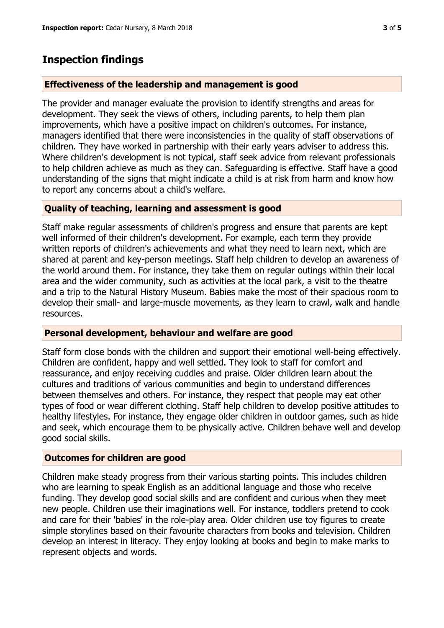## **Inspection findings**

#### **Effectiveness of the leadership and management is good**

The provider and manager evaluate the provision to identify strengths and areas for development. They seek the views of others, including parents, to help them plan improvements, which have a positive impact on children's outcomes. For instance, managers identified that there were inconsistencies in the quality of staff observations of children. They have worked in partnership with their early years adviser to address this. Where children's development is not typical, staff seek advice from relevant professionals to help children achieve as much as they can. Safeguarding is effective. Staff have a good understanding of the signs that might indicate a child is at risk from harm and know how to report any concerns about a child's welfare.

#### **Quality of teaching, learning and assessment is good**

Staff make regular assessments of children's progress and ensure that parents are kept well informed of their children's development. For example, each term they provide written reports of children's achievements and what they need to learn next, which are shared at parent and key-person meetings. Staff help children to develop an awareness of the world around them. For instance, they take them on regular outings within their local area and the wider community, such as activities at the local park, a visit to the theatre and a trip to the Natural History Museum. Babies make the most of their spacious room to develop their small- and large-muscle movements, as they learn to crawl, walk and handle resources.

#### **Personal development, behaviour and welfare are good**

Staff form close bonds with the children and support their emotional well-being effectively. Children are confident, happy and well settled. They look to staff for comfort and reassurance, and enjoy receiving cuddles and praise. Older children learn about the cultures and traditions of various communities and begin to understand differences between themselves and others. For instance, they respect that people may eat other types of food or wear different clothing. Staff help children to develop positive attitudes to healthy lifestyles. For instance, they engage older children in outdoor games, such as hide and seek, which encourage them to be physically active. Children behave well and develop good social skills.

#### **Outcomes for children are good**

Children make steady progress from their various starting points. This includes children who are learning to speak English as an additional language and those who receive funding. They develop good social skills and are confident and curious when they meet new people. Children use their imaginations well. For instance, toddlers pretend to cook and care for their 'babies' in the role-play area. Older children use toy figures to create simple storylines based on their favourite characters from books and television. Children develop an interest in literacy. They enjoy looking at books and begin to make marks to represent objects and words.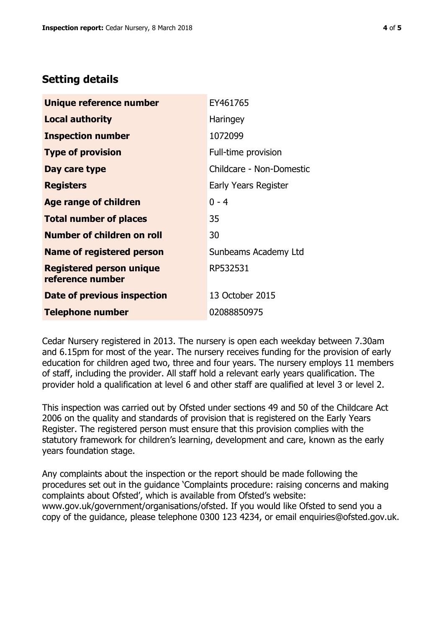# **Setting details**

| Unique reference number                             | EY461765                 |  |
|-----------------------------------------------------|--------------------------|--|
| <b>Local authority</b>                              | Haringey                 |  |
| <b>Inspection number</b>                            | 1072099                  |  |
| <b>Type of provision</b>                            | Full-time provision      |  |
| Day care type                                       | Childcare - Non-Domestic |  |
| <b>Registers</b>                                    | Early Years Register     |  |
| <b>Age range of children</b>                        | $0 - 4$                  |  |
| <b>Total number of places</b>                       | 35                       |  |
| <b>Number of children on roll</b>                   | 30                       |  |
| <b>Name of registered person</b>                    | Sunbeams Academy Ltd     |  |
| <b>Registered person unique</b><br>reference number | RP532531                 |  |
| Date of previous inspection                         | 13 October 2015          |  |
| <b>Telephone number</b>                             | 02088850975              |  |

Cedar Nursery registered in 2013. The nursery is open each weekday between 7.30am and 6.15pm for most of the year. The nursery receives funding for the provision of early education for children aged two, three and four years. The nursery employs 11 members of staff, including the provider. All staff hold a relevant early years qualification. The provider hold a qualification at level 6 and other staff are qualified at level 3 or level 2.

This inspection was carried out by Ofsted under sections 49 and 50 of the Childcare Act 2006 on the quality and standards of provision that is registered on the Early Years Register. The registered person must ensure that this provision complies with the statutory framework for children's learning, development and care, known as the early years foundation stage.

Any complaints about the inspection or the report should be made following the procedures set out in the guidance 'Complaints procedure: raising concerns and making complaints about Ofsted', which is available from Ofsted's website: www.gov.uk/government/organisations/ofsted. If you would like Ofsted to send you a copy of the guidance, please telephone 0300 123 4234, or email enquiries@ofsted.gov.uk.